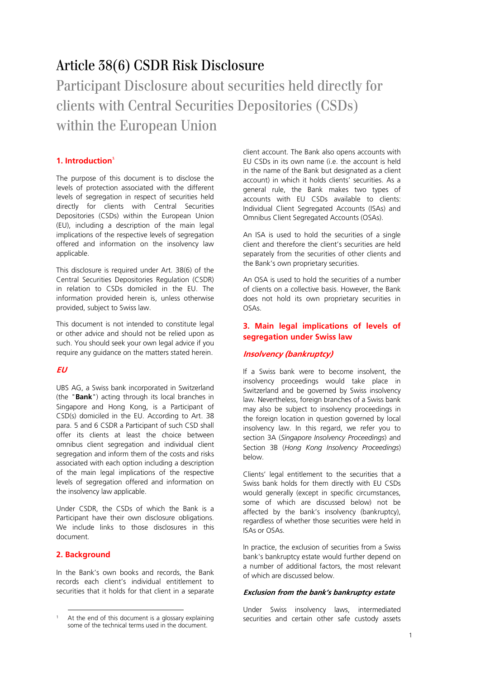# Article 38(6) CSDR Risk Disclosure

# Participant Disclosure about securities held directly for clients with Central Securities Depositories (CSDs) within the European Union

# **1. Introduction**<sup>1</sup>

The purpose of this document is to disclose the levels of protection associated with the different levels of segregation in respect of securities held directly for clients with Central Securities Depositories (CSDs) within the European Union (EU), including a description of the main legal implications of the respective levels of segregation offered and information on the insolvency law applicable.

This disclosure is required under Art. 38(6) of the Central Securities Depositories Regulation (CSDR) in relation to CSDs domiciled in the EU. The information provided herein is, unless otherwise provided, subject to Swiss law.

This document is not intended to constitute legal or other advice and should not be relied upon as such. You should seek your own legal advice if you require any guidance on the matters stated herein.

# **EU**

UBS AG, a Swiss bank incorporated in Switzerland (the "**Bank**") acting through its local branches in Singapore and Hong Kong, is a Participant of CSD(s) domiciled in the EU. According to Art. 38 para. 5 and 6 CSDR a Participant of such CSD shall offer its clients at least the choice between omnibus client segregation and individual client segregation and inform them of the costs and risks associated with each option including a description of the main legal implications of the respective levels of segregation offered and information on the insolvency law applicable.

Under CSDR, the CSDs of which the Bank is a Participant have their own disclosure obligations. We include links to those disclosures in this document.

# **2. Background**

In the Bank's own books and records, the Bank records each client's individual entitlement to securities that it holds for that client in a separate client account. The Bank also opens accounts with EU CSDs in its own name (i.e. the account is held in the name of the Bank but designated as a client account) in which it holds clients' securities. As a general rule, the Bank makes two types of accounts with EU CSDs available to clients: Individual Client Segregated Accounts (ISAs) and Omnibus Client Segregated Accounts (OSAs).

An ISA is used to hold the securities of a single client and therefore the client's securities are held separately from the securities of other clients and the Bank's own proprietary securities.

An OSA is used to hold the securities of a number of clients on a collective basis. However, the Bank does not hold its own proprietary securities in OSAs.

# **3. Main legal implications of levels of segregation under Swiss law**

#### **Insolvency (bankruptcy)**

If a Swiss bank were to become insolvent, the insolvency proceedings would take place in Switzerland and be governed by Swiss insolvency law. Nevertheless, foreign branches of a Swiss bank may also be subject to insolvency proceedings in the foreign location in question governed by local insolvency law. In this regard, we refer you to section 3A (*Singapore Insolvency Proceedings*) and Section 3B (*Hong Kong Insolvency Proceedings*) below.

Clients' legal entitlement to the securities that a Swiss bank holds for them directly with EU CSDs would generally (except in specific circumstances, some of which are discussed below) not be affected by the bank's insolvency (bankruptcy), regardless of whether those securities were held in ISAs or OSAs.

In practice, the exclusion of securities from a Swiss bank's bankruptcy estate would further depend on a number of additional factors, the most relevant of which are discussed below.

#### **Exclusion from the bank's bankruptcy estate**

Under Swiss insolvency laws, intermediated securities and certain other safe custody assets

 $\overline{a}$ At the end of this document is a glossary explaining some of the technical terms used in the document.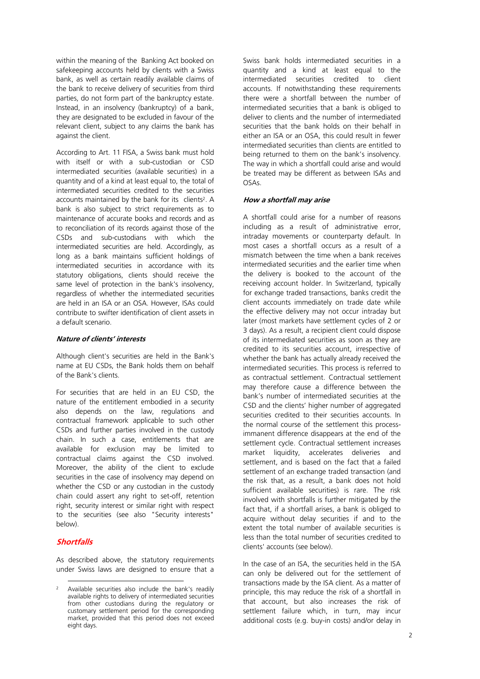within the meaning of the Banking Act booked on safekeeping accounts held by clients with a Swiss bank, as well as certain readily available claims of the bank to receive delivery of securities from third parties, do not form part of the bankruptcy estate. Instead, in an insolvency (bankruptcy) of a bank, they are designated to be excluded in favour of the relevant client, subject to any claims the bank has against the client.

According to Art. 11 FISA, a Swiss bank must hold with itself or with a sub-custodian or CSD intermediated securities (available securities) in a quantity and of a kind at least equal to, the total of intermediated securities credited to the securities accounts maintained by the bank for its clients<sup>2</sup>. A bank is also subject to strict requirements as to maintenance of accurate books and records and as to reconciliation of its records against those of the CSDs and sub-custodians with which the intermediated securities are held. Accordingly, as long as a bank maintains sufficient holdings of intermediated securities in accordance with its statutory obligations, clients should receive the same level of protection in the bank's insolvency, regardless of whether the intermediated securities are held in an ISA or an OSA. However, ISAs could contribute to swifter identification of client assets in a default scenario.

#### **Nature of clients' interests**

Although client's securities are held in the Bank's name at EU CSDs, the Bank holds them on behalf of the Bank's clients.

For securities that are held in an EU CSD, the nature of the entitlement embodied in a security also depends on the law, regulations and contractual framework applicable to such other CSDs and further parties involved in the custody chain. In such a case, entitlements that are available for exclusion may be limited to contractual claims against the CSD involved. Moreover, the ability of the client to exclude securities in the case of insolvency may depend on whether the CSD or any custodian in the custody chain could assert any right to set-off, retention right, security interest or similar right with respect to the securities (see also "Security interests" below).

# **Shortfalls**

As described above, the statutory requirements under Swiss laws are designed to ensure that a

Swiss bank holds intermediated securities in a quantity and a kind at least equal to the intermediated securities credited to client accounts. If notwithstanding these requirements there were a shortfall between the number of intermediated securities that a bank is obliged to deliver to clients and the number of intermediated securities that the bank holds on their behalf in either an ISA or an OSA, this could result in fewer intermediated securities than clients are entitled to being returned to them on the bank's insolvency. The way in which a shortfall could arise and would be treated may be different as between ISAs and OSAs.

# **How a shortfall may arise**

A shortfall could arise for a number of reasons including as a result of administrative error, intraday movements or counterparty default. In most cases a shortfall occurs as a result of a mismatch between the time when a bank receives intermediated securities and the earlier time when the delivery is booked to the account of the receiving account holder. In Switzerland, typically for exchange traded transactions, banks credit the client accounts immediately on trade date while the effective delivery may not occur intraday but later (most markets have settlement cycles of 2 or 3 days). As a result, a recipient client could dispose of its intermediated securities as soon as they are credited to its securities account, irrespective of whether the bank has actually already received the intermediated securities. This process is referred to as contractual settlement. Contractual settlement may therefore cause a difference between the bank's number of intermediated securities at the CSD and the clients' higher number of aggregated securities credited to their securities accounts. In the normal course of the settlement this processimmanent difference disappears at the end of the settlement cycle. Contractual settlement increases market liquidity, accelerates deliveries and settlement, and is based on the fact that a failed settlement of an exchange traded transaction (and the risk that, as a result, a bank does not hold sufficient available securities) is rare. The risk involved with shortfalls is further mitigated by the fact that, if a shortfall arises, a bank is obliged to acquire without delay securities if and to the extent the total number of available securities is less than the total number of securities credited to clients' accounts (see below).

In the case of an ISA, the securities held in the ISA can only be delivered out for the settlement of transactions made by the ISA client. As a matter of principle, this may reduce the risk of a shortfall in that account, but also increases the risk of settlement failure which, in turn, may incur additional costs (e.g. buy-in costs) and/or delay in

 $\overline{a}$ Available securities also include the bank's readily available rights to delivery of intermediated securities from other custodians during the regulatory or customary settlement period for the corresponding market, provided that this period does not exceed eight days.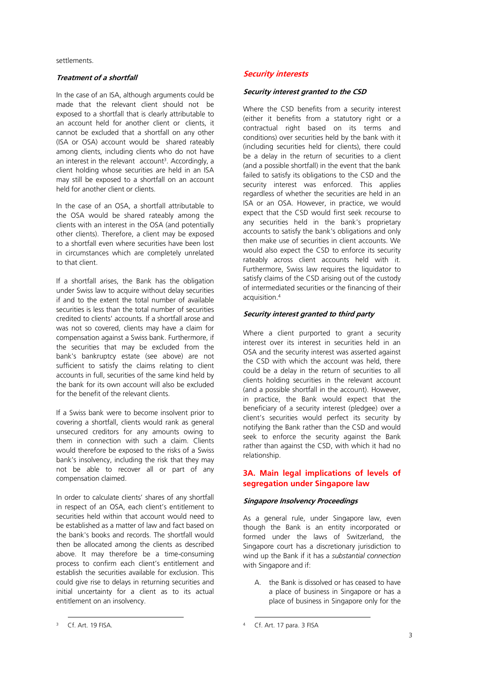settlements.

#### **Treatment of a shortfall**

In the case of an ISA, although arguments could be made that the relevant client should not be exposed to a shortfall that is clearly attributable to an account held for another client or clients, it cannot be excluded that a shortfall on any other (ISA or OSA) account would be shared rateably among clients, including clients who do not have an interest in the relevant account<sup>3</sup>. Accordingly, a client holding whose securities are held in an ISA may still be exposed to a shortfall on an account held for another client or clients.

In the case of an OSA, a shortfall attributable to the OSA would be shared rateably among the clients with an interest in the OSA (and potentially other clients). Therefore, a client may be exposed to a shortfall even where securities have been lost in circumstances which are completely unrelated to that client.

If a shortfall arises, the Bank has the obligation under Swiss law to acquire without delay securities if and to the extent the total number of available securities is less than the total number of securities credited to clients' accounts. If a shortfall arose and was not so covered, clients may have a claim for compensation against a Swiss bank. Furthermore, if the securities that may be excluded from the bank's bankruptcy estate (see above) are not sufficient to satisfy the claims relating to client accounts in full, securities of the same kind held by the bank for its own account will also be excluded for the benefit of the relevant clients.

If a Swiss bank were to become insolvent prior to covering a shortfall, clients would rank as general unsecured creditors for any amounts owing to them in connection with such a claim. Clients would therefore be exposed to the risks of a Swiss bank's insolvency, including the risk that they may not be able to recover all or part of any compensation claimed.

In order to calculate clients' shares of any shortfall in respect of an OSA, each client's entitlement to securities held within that account would need to be established as a matter of law and fact based on the bank's books and records. The shortfall would then be allocated among the clients as described above. It may therefore be a time-consuming process to confirm each client's entitlement and establish the securities available for exclusion. This could give rise to delays in returning securities and initial uncertainty for a client as to its actual entitlement on an insolvency.

#### **Security interests**

#### **Security interest granted to the CSD**

Where the CSD benefits from a security interest (either it benefits from a statutory right or a contractual right based on its terms and conditions) over securities held by the bank with it (including securities held for clients), there could be a delay in the return of securities to a client (and a possible shortfall) in the event that the bank failed to satisfy its obligations to the CSD and the security interest was enforced. This applies regardless of whether the securities are held in an ISA or an OSA. However, in practice, we would expect that the CSD would first seek recourse to any securities held in the bank's proprietary accounts to satisfy the bank's obligations and only then make use of securities in client accounts. We would also expect the CSD to enforce its security rateably across client accounts held with it. Furthermore, Swiss law requires the liquidator to satisfy claims of the CSD arising out of the custody of intermediated securities or the financing of their acquisition.<sup>4</sup>

#### **Security interest granted to third party**

Where a client purported to grant a security interest over its interest in securities held in an OSA and the security interest was asserted against the CSD with which the account was held, there could be a delay in the return of securities to all clients holding securities in the relevant account (and a possible shortfall in the account). However, in practice, the Bank would expect that the beneficiary of a security interest (pledgee) over a client's securities would perfect its security by notifying the Bank rather than the CSD and would seek to enforce the security against the Bank rather than against the CSD, with which it had no relationship.

# **3A. Main legal implications of levels of segregation under Singapore law**

#### **Singapore Insolvency Proceedings**

As a general rule, under Singapore law, even though the Bank is an entity incorporated or formed under the laws of Switzerland, the Singapore court has a discretionary jurisdiction to wind up the Bank if it has a *substantial connection* with Singapore and if:

A. the Bank is dissolved or has ceased to have a place of business in Singapore or has a place of business in Singapore only for the

 $\overline{a}$ <sup>3</sup> Cf. Art. 19 FISA.

<sup>1</sup> <sup>4</sup> Cf. Art. 17 para. 3 FISA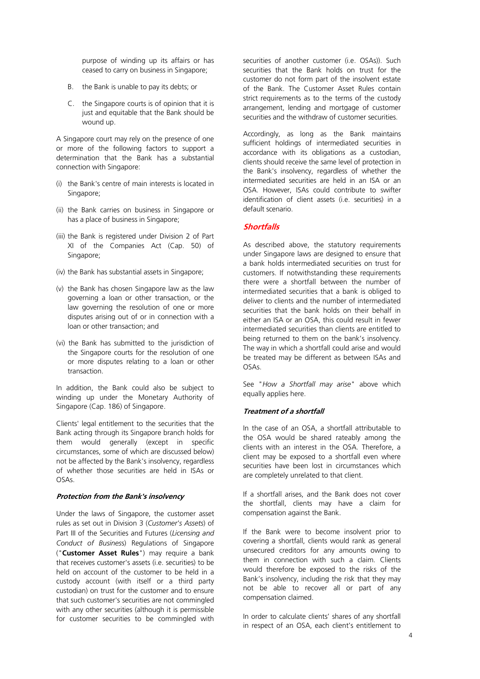purpose of winding up its affairs or has ceased to carry on business in Singapore;

- B. the Bank is unable to pay its debts; or
- C. the Singapore courts is of opinion that it is just and equitable that the Bank should be wound up.

A Singapore court may rely on the presence of one or more of the following factors to support a determination that the Bank has a substantial connection with Singapore:

- (i) the Bank's centre of main interests is located in Singapore;
- (ii) the Bank carries on business in Singapore or has a place of business in Singapore;
- (iii) the Bank is registered under Division 2 of Part XI of the Companies Act (Cap. 50) of Singapore;
- (iv) the Bank has substantial assets in Singapore;
- (v) the Bank has chosen Singapore law as the law governing a loan or other transaction, or the law governing the resolution of one or more disputes arising out of or in connection with a loan or other transaction; and
- (vi) the Bank has submitted to the jurisdiction of the Singapore courts for the resolution of one or more disputes relating to a loan or other transaction.

In addition, the Bank could also be subject to winding up under the Monetary Authority of Singapore (Cap. 186) of Singapore.

Clients' legal entitlement to the securities that the Bank acting through its Singapore branch holds for them would generally (except in specific circumstances, some of which are discussed below) not be affected by the Bank's insolvency, regardless of whether those securities are held in ISAs or OSAs.

#### **Protection from the Bank's insolvency**

Under the laws of Singapore, the customer asset rules as set out in Division 3 (*Customer's Assets*) of Part III of the Securities and Futures (*Licensing and Conduct of Busines*s) Regulations of Singapore ("**Customer Asset Rules**") may require a bank that receives customer's assets (i.e. securities) to be held on account of the customer to be held in a custody account (with itself or a third party custodian) on trust for the customer and to ensure that such customer's securities are not commingled with any other securities (although it is permissible for customer securities to be commingled with securities of another customer (i.e. OSAs)). Such securities that the Bank holds on trust for the customer do not form part of the insolvent estate of the Bank. The Customer Asset Rules contain strict requirements as to the terms of the custody arrangement, lending and mortgage of customer securities and the withdraw of customer securities.

Accordingly, as long as the Bank maintains sufficient holdings of intermediated securities in accordance with its obligations as a custodian, clients should receive the same level of protection in the Bank's insolvency, regardless of whether the intermediated securities are held in an ISA or an OSA. However, ISAs could contribute to swifter identification of client assets (i.e. securities) in a default scenario.

# **Shortfalls**

As described above, the statutory requirements under Singapore laws are designed to ensure that a bank holds intermediated securities on trust for customers. If notwithstanding these requirements there were a shortfall between the number of intermediated securities that a bank is obliged to deliver to clients and the number of intermediated securities that the bank holds on their behalf in either an ISA or an OSA, this could result in fewer intermediated securities than clients are entitled to being returned to them on the bank's insolvency. The way in which a shortfall could arise and would be treated may be different as between ISAs and OSAs.

See "*How a Shortfall may arise*" above which equally applies here.

# **Treatment of a shortfall**

In the case of an OSA, a shortfall attributable to the OSA would be shared rateably among the clients with an interest in the OSA. Therefore, a client may be exposed to a shortfall even where securities have been lost in circumstances which are completely unrelated to that client.

If a shortfall arises, and the Bank does not cover the shortfall, clients may have a claim for compensation against the Bank.

If the Bank were to become insolvent prior to covering a shortfall, clients would rank as general unsecured creditors for any amounts owing to them in connection with such a claim. Clients would therefore be exposed to the risks of the Bank's insolvency, including the risk that they may not be able to recover all or part of any compensation claimed.

In order to calculate clients' shares of any shortfall in respect of an OSA, each client's entitlement to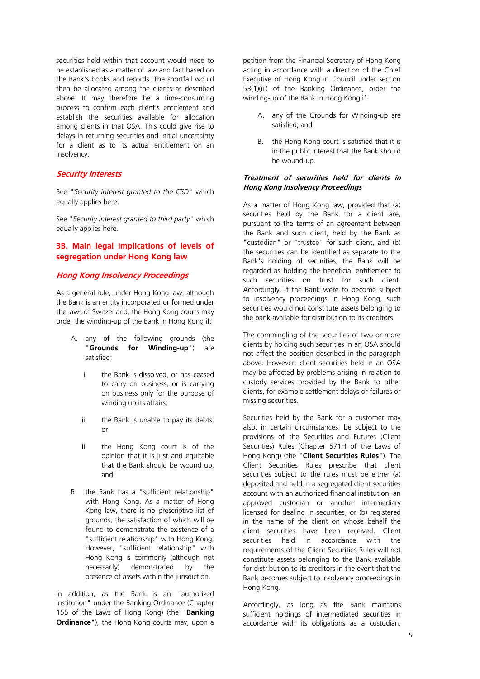securities held within that account would need to be established as a matter of law and fact based on the Bank's books and records. The shortfall would then be allocated among the clients as described above. It may therefore be a time-consuming process to confirm each client's entitlement and establish the securities available for allocation among clients in that OSA. This could give rise to delays in returning securities and initial uncertainty for a client as to its actual entitlement on an insolvency.

#### **Security interests**

See "*Security interest granted to the CSD*" which equally applies here.

See "*Security interest granted to third party*" which equally applies here.

# **3B. Main legal implications of levels of segregation under Hong Kong law**

#### **Hong Kong Insolvency Proceedings**

As a general rule, under Hong Kong law, although the Bank is an entity incorporated or formed under the laws of Switzerland, the Hong Kong courts may order the winding-up of the Bank in Hong Kong if:

- A. any of the following grounds (the "**Grounds for Winding-up**") are satisfied:
	- i. the Bank is dissolved, or has ceased to carry on business, or is carrying on business only for the purpose of winding up its affairs;
	- ii. the Bank is unable to pay its debts; or
	- iii. the Hong Kong court is of the opinion that it is just and equitable that the Bank should be wound up; and
- B. the Bank has a "sufficient relationship" with Hong Kong. As a matter of Hong Kong law, there is no prescriptive list of grounds, the satisfaction of which will be found to demonstrate the existence of a "sufficient relationship" with Hong Kong. However, "sufficient relationship" with Hong Kong is commonly (although not necessarily) demonstrated by the presence of assets within the jurisdiction.

In addition, as the Bank is an "authorized institution" under the Banking Ordinance (Chapter 155 of the Laws of Hong Kong) (the "**Banking Ordinance**"), the Hong Kong courts may, upon a

petition from the Financial Secretary of Hong Kong acting in accordance with a direction of the Chief Executive of Hong Kong in Council under section 53(1)(iii) of the Banking Ordinance, order the winding-up of the Bank in Hong Kong if:

- A. any of the Grounds for Winding-up are satisfied; and
- B. the Hong Kong court is satisfied that it is in the public interest that the Bank should be wound-up.

#### **Treatment of securities held for clients in Hong Kong Insolvency Proceedings**

As a matter of Hong Kong law, provided that (a) securities held by the Bank for a client are, pursuant to the terms of an agreement between the Bank and such client, held by the Bank as "custodian" or "trustee" for such client, and (b) the securities can be identified as separate to the Bank's holding of securities, the Bank will be regarded as holding the beneficial entitlement to such securities on trust for such client. Accordingly, if the Bank were to become subject to insolvency proceedings in Hong Kong, such securities would not constitute assets belonging to the bank available for distribution to its creditors.

The commingling of the securities of two or more clients by holding such securities in an OSA should not affect the position described in the paragraph above. However, client securities held in an OSA may be affected by problems arising in relation to custody services provided by the Bank to other clients, for example settlement delays or failures or missing securities.

Securities held by the Bank for a customer may also, in certain circumstances, be subject to the provisions of the Securities and Futures (Client Securities) Rules (Chapter 571H of the Laws of Hong Kong) (the "**Client Securities Rules**"). The Client Securities Rules prescribe that client securities subject to the rules must be either (a) deposited and held in a segregated client securities account with an authorized financial institution, an approved custodian or another intermediary licensed for dealing in securities, or (b) registered in the name of the client on whose behalf the client securities have been received. Client securities held in accordance with the requirements of the Client Securities Rules will not constitute assets belonging to the Bank available for distribution to its creditors in the event that the Bank becomes subject to insolvency proceedings in Hong Kong.

Accordingly, as long as the Bank maintains sufficient holdings of intermediated securities in accordance with its obligations as a custodian,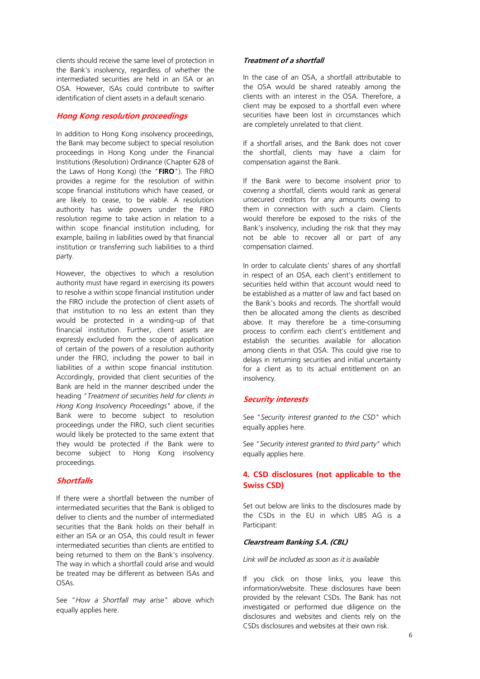clients should receive the same level of protection in the Bank's insolvency, regardless of whether the intermediated securities are held in an ISA or an OSA. However, ISAs could contribute to swifter identification of client assets in a default scenario.

#### **Hong Kong resolution proceedings**

In addition to Hong Kong insolvency proceedings, the Bank may become subject to special resolution proceedings in Hong Kong under the Financial Institutions (Resolution) Ordinance (Chapter 628 of the Laws of Hong Kong) (the "**FIRO**"). The FIRO provides a regime for the resolution of within scope financial institutions which have ceased, or are likely to cease, to be viable. A resolution authority has wide powers under the FIRO resolution regime to take action in relation to a within scope financial institution including, for example, bailing in liabilities owed by that financial institution or transferring such liabilities to a third party.

However, the objectives to which a resolution authority must have regard in exercising its powers to resolve a within scope financial institution under the FIRO include the protection of client assets of that institution to no less an extent than they would be protected in a winding-up of that financial institution. Further, client assets are expressly excluded from the scope of application of certain of the powers of a resolution authority under the FIRO, including the power to bail in liabilities of a within scope financial institution. Accordingly, provided that client securities of the Bank are held in the manner described under the heading "*Treatment of securities held for clients in Hong Kong Insolvency Proceedings*" above, if the Bank were to become subject to resolution proceedings under the FIRO, such client securities would likely be protected to the same extent that they would be protected if the Bank were to become subject to Hong Kong insolvency proceedings.

# **Shortfalls**

If there were a shortfall between the number of intermediated securities that the Bank is obliged to deliver to clients and the number of intermediated securities that the Bank holds on their behalf in either an ISA or an OSA, this could result in fewer intermediated securities than clients are entitled to being returned to them on the Bank's insolvency. The way in which a shortfall could arise and would be treated may be different as between ISAs and OSAs.

See "*How a Shortfall may arise*" above which equally applies here.

# **Treatment of a shortfall**

In the case of an OSA, a shortfall attributable to the OSA would be shared rateably among the clients with an interest in the OSA. Therefore, a client may be exposed to a shortfall even where securities have been lost in circumstances which are completely unrelated to that client.

If a shortfall arises, and the Bank does not cover the shortfall, clients may have a claim for compensation against the Bank.

If the Bank were to become insolvent prior to covering a shortfall, clients would rank as general unsecured creditors for any amounts owing to them in connection with such a claim. Clients would therefore be exposed to the risks of the Bank's insolvency, including the risk that they may not be able to recover all or part of any compensation claimed.

In order to calculate clients' shares of any shortfall in respect of an OSA, each client's entitlement to securities held within that account would need to be established as a matter of law and fact based on the Bank's books and records. The shortfall would then be allocated among the clients as described above. It may therefore be a time-consuming process to confirm each client's entitlement and establish the securities available for allocation among clients in that OSA. This could give rise to delays in returning securities and initial uncertainty for a client as to its actual entitlement on an insolvency.

#### **Security interests**

See "*Security interest granted to the CSD*" which equally applies here.

See "*Security interest granted to third party*" which equally applies here.

# **4. CSD disclosures (not applicable to the Swiss CSD)**

Set out below are links to the disclosures made by the CSDs in the EU in which UBS AG is a Participant:

#### **Clearstream Banking S.A. (CBL)**

*Link will be included as soon as it is available*

If you click on those links, you leave this information/website. These disclosures have been provided by the relevant CSDs. The Bank has not investigated or performed due diligence on the disclosures and websites and clients rely on the CSDs disclosures and websites at their own risk.